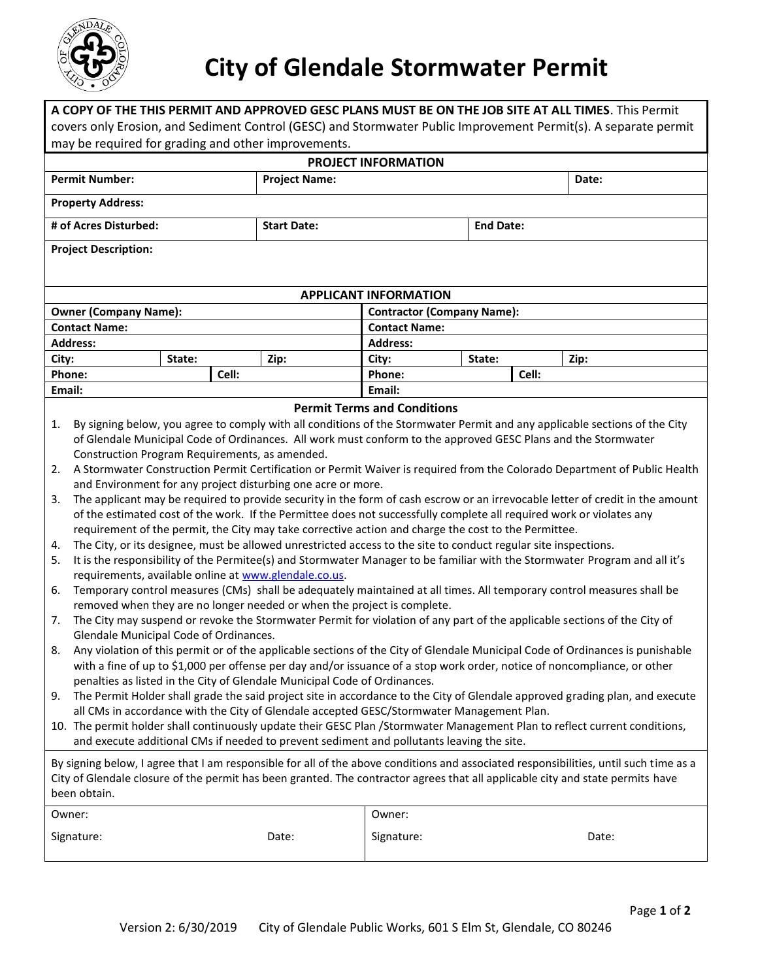

## **City of Glendale Stormwater Permit**

|                                                                                                                                                                                                                                                                         |                                                                                                                            |                                                                                                                               |                      |                                   |        | A COPY OF THE THIS PERMIT AND APPROVED GESC PLANS MUST BE ON THE JOB SITE AT ALL TIMES. This Permit |       |  |  |  |  |  |  |
|-------------------------------------------------------------------------------------------------------------------------------------------------------------------------------------------------------------------------------------------------------------------------|----------------------------------------------------------------------------------------------------------------------------|-------------------------------------------------------------------------------------------------------------------------------|----------------------|-----------------------------------|--------|-----------------------------------------------------------------------------------------------------|-------|--|--|--|--|--|--|
| covers only Erosion, and Sediment Control (GESC) and Stormwater Public Improvement Permit(s). A separate permit                                                                                                                                                         |                                                                                                                            |                                                                                                                               |                      |                                   |        |                                                                                                     |       |  |  |  |  |  |  |
| may be required for grading and other improvements.                                                                                                                                                                                                                     |                                                                                                                            |                                                                                                                               |                      |                                   |        |                                                                                                     |       |  |  |  |  |  |  |
| <b>PROJECT INFORMATION</b>                                                                                                                                                                                                                                              |                                                                                                                            |                                                                                                                               |                      |                                   |        |                                                                                                     |       |  |  |  |  |  |  |
| <b>Permit Number:</b>                                                                                                                                                                                                                                                   |                                                                                                                            |                                                                                                                               | <b>Project Name:</b> |                                   |        |                                                                                                     | Date: |  |  |  |  |  |  |
| <b>Property Address:</b>                                                                                                                                                                                                                                                |                                                                                                                            |                                                                                                                               |                      |                                   |        |                                                                                                     |       |  |  |  |  |  |  |
| # of Acres Disturbed:<br><b>Start Date:</b>                                                                                                                                                                                                                             |                                                                                                                            |                                                                                                                               |                      | <b>End Date:</b>                  |        |                                                                                                     |       |  |  |  |  |  |  |
|                                                                                                                                                                                                                                                                         | <b>Project Description:</b>                                                                                                |                                                                                                                               |                      |                                   |        |                                                                                                     |       |  |  |  |  |  |  |
|                                                                                                                                                                                                                                                                         |                                                                                                                            |                                                                                                                               |                      |                                   |        |                                                                                                     |       |  |  |  |  |  |  |
| <b>APPLICANT INFORMATION</b>                                                                                                                                                                                                                                            |                                                                                                                            |                                                                                                                               |                      |                                   |        |                                                                                                     |       |  |  |  |  |  |  |
| <b>Owner (Company Name):</b>                                                                                                                                                                                                                                            |                                                                                                                            |                                                                                                                               |                      | <b>Contractor (Company Name):</b> |        |                                                                                                     |       |  |  |  |  |  |  |
| <b>Contact Name:</b>                                                                                                                                                                                                                                                    |                                                                                                                            |                                                                                                                               |                      | <b>Contact Name:</b>              |        |                                                                                                     |       |  |  |  |  |  |  |
| <b>Address:</b>                                                                                                                                                                                                                                                         |                                                                                                                            |                                                                                                                               |                      | <b>Address:</b>                   |        |                                                                                                     |       |  |  |  |  |  |  |
| City:                                                                                                                                                                                                                                                                   |                                                                                                                            | State:                                                                                                                        | Zip:                 | City:                             | State: |                                                                                                     | Zip:  |  |  |  |  |  |  |
| Phone:                                                                                                                                                                                                                                                                  |                                                                                                                            |                                                                                                                               | Cell:                | Phone:                            |        | Cell:                                                                                               |       |  |  |  |  |  |  |
| Email:<br>Email:                                                                                                                                                                                                                                                        |                                                                                                                            |                                                                                                                               |                      |                                   |        |                                                                                                     |       |  |  |  |  |  |  |
| <b>Permit Terms and Conditions</b>                                                                                                                                                                                                                                      |                                                                                                                            |                                                                                                                               |                      |                                   |        |                                                                                                     |       |  |  |  |  |  |  |
| 1.                                                                                                                                                                                                                                                                      | By signing below, you agree to comply with all conditions of the Stormwater Permit and any applicable sections of the City |                                                                                                                               |                      |                                   |        |                                                                                                     |       |  |  |  |  |  |  |
|                                                                                                                                                                                                                                                                         | of Glendale Municipal Code of Ordinances. All work must conform to the approved GESC Plans and the Stormwater              |                                                                                                                               |                      |                                   |        |                                                                                                     |       |  |  |  |  |  |  |
|                                                                                                                                                                                                                                                                         | Construction Program Requirements, as amended.                                                                             |                                                                                                                               |                      |                                   |        |                                                                                                     |       |  |  |  |  |  |  |
| 2.                                                                                                                                                                                                                                                                      | A Stormwater Construction Permit Certification or Permit Waiver is required from the Colorado Department of Public Health  |                                                                                                                               |                      |                                   |        |                                                                                                     |       |  |  |  |  |  |  |
|                                                                                                                                                                                                                                                                         | and Environment for any project disturbing one acre or more.                                                               |                                                                                                                               |                      |                                   |        |                                                                                                     |       |  |  |  |  |  |  |
| 3.                                                                                                                                                                                                                                                                      |                                                                                                                            | The applicant may be required to provide security in the form of cash escrow or an irrevocable letter of credit in the amount |                      |                                   |        |                                                                                                     |       |  |  |  |  |  |  |
|                                                                                                                                                                                                                                                                         | of the estimated cost of the work. If the Permittee does not successfully complete all required work or violates any       |                                                                                                                               |                      |                                   |        |                                                                                                     |       |  |  |  |  |  |  |
|                                                                                                                                                                                                                                                                         | requirement of the permit, the City may take corrective action and charge the cost to the Permittee.                       |                                                                                                                               |                      |                                   |        |                                                                                                     |       |  |  |  |  |  |  |
| 4.                                                                                                                                                                                                                                                                      | The City, or its designee, must be allowed unrestricted access to the site to conduct regular site inspections.            |                                                                                                                               |                      |                                   |        |                                                                                                     |       |  |  |  |  |  |  |
| It is the responsibility of the Permitee(s) and Stormwater Manager to be familiar with the Stormwater Program and all it's<br>5.<br>requirements, available online at www.glendale.co.us.                                                                               |                                                                                                                            |                                                                                                                               |                      |                                   |        |                                                                                                     |       |  |  |  |  |  |  |
| 6.                                                                                                                                                                                                                                                                      | Temporary control measures (CMs) shall be adequately maintained at all times. All temporary control measures shall be      |                                                                                                                               |                      |                                   |        |                                                                                                     |       |  |  |  |  |  |  |
| removed when they are no longer needed or when the project is complete.                                                                                                                                                                                                 |                                                                                                                            |                                                                                                                               |                      |                                   |        |                                                                                                     |       |  |  |  |  |  |  |
| The City may suspend or revoke the Stormwater Permit for violation of any part of the applicable sections of the City of<br>7.                                                                                                                                          |                                                                                                                            |                                                                                                                               |                      |                                   |        |                                                                                                     |       |  |  |  |  |  |  |
| Glendale Municipal Code of Ordinances.                                                                                                                                                                                                                                  |                                                                                                                            |                                                                                                                               |                      |                                   |        |                                                                                                     |       |  |  |  |  |  |  |
| Any violation of this permit or of the applicable sections of the City of Glendale Municipal Code of Ordinances is punishable<br>8.<br>with a fine of up to \$1,000 per offense per day and/or issuance of a stop work order, notice of noncompliance, or other         |                                                                                                                            |                                                                                                                               |                      |                                   |        |                                                                                                     |       |  |  |  |  |  |  |
| penalties as listed in the City of Glendale Municipal Code of Ordinances.                                                                                                                                                                                               |                                                                                                                            |                                                                                                                               |                      |                                   |        |                                                                                                     |       |  |  |  |  |  |  |
| The Permit Holder shall grade the said project site in accordance to the City of Glendale approved grading plan, and execute<br>9.                                                                                                                                      |                                                                                                                            |                                                                                                                               |                      |                                   |        |                                                                                                     |       |  |  |  |  |  |  |
| all CMs in accordance with the City of Glendale accepted GESC/Stormwater Management Plan.                                                                                                                                                                               |                                                                                                                            |                                                                                                                               |                      |                                   |        |                                                                                                     |       |  |  |  |  |  |  |
| 10. The permit holder shall continuously update their GESC Plan /Stormwater Management Plan to reflect current conditions,                                                                                                                                              |                                                                                                                            |                                                                                                                               |                      |                                   |        |                                                                                                     |       |  |  |  |  |  |  |
| and execute additional CMs if needed to prevent sediment and pollutants leaving the site.                                                                                                                                                                               |                                                                                                                            |                                                                                                                               |                      |                                   |        |                                                                                                     |       |  |  |  |  |  |  |
|                                                                                                                                                                                                                                                                         |                                                                                                                            |                                                                                                                               |                      |                                   |        |                                                                                                     |       |  |  |  |  |  |  |
| By signing below, I agree that I am responsible for all of the above conditions and associated responsibilities, until such time as a<br>City of Glendale closure of the permit has been granted. The contractor agrees that all applicable city and state permits have |                                                                                                                            |                                                                                                                               |                      |                                   |        |                                                                                                     |       |  |  |  |  |  |  |
| been obtain.                                                                                                                                                                                                                                                            |                                                                                                                            |                                                                                                                               |                      |                                   |        |                                                                                                     |       |  |  |  |  |  |  |
|                                                                                                                                                                                                                                                                         |                                                                                                                            |                                                                                                                               |                      |                                   |        |                                                                                                     |       |  |  |  |  |  |  |
| Owner:                                                                                                                                                                                                                                                                  |                                                                                                                            |                                                                                                                               | Owner:               |                                   |        |                                                                                                     |       |  |  |  |  |  |  |
| Signature:<br>Date:                                                                                                                                                                                                                                                     |                                                                                                                            |                                                                                                                               | Signature:           |                                   |        | Date:                                                                                               |       |  |  |  |  |  |  |
|                                                                                                                                                                                                                                                                         |                                                                                                                            |                                                                                                                               |                      |                                   |        |                                                                                                     |       |  |  |  |  |  |  |
|                                                                                                                                                                                                                                                                         |                                                                                                                            |                                                                                                                               |                      |                                   |        |                                                                                                     |       |  |  |  |  |  |  |